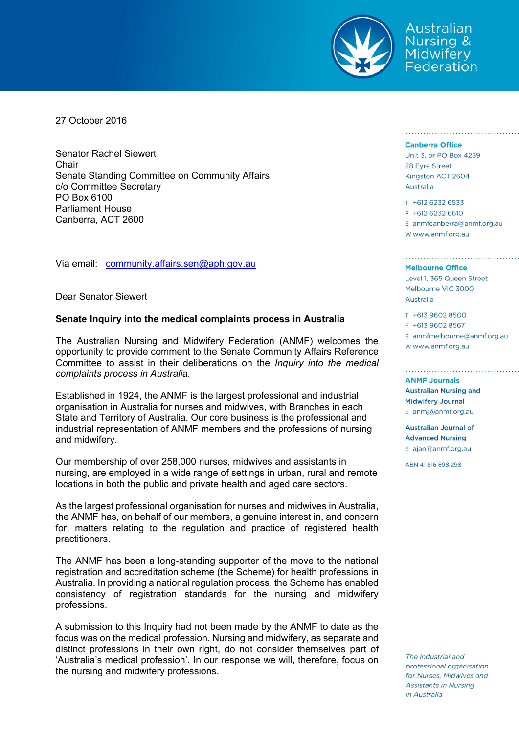

Australian **Nursing &** Midwifery Federation

27 October 2016

Senator Rachel Siewert Chair Senate Standing Committee on Community Affairs c/o Committee Secretary PO Box 6100 Parliament House Canberra, ACT 2600

Via email: community.affairs.sen@aph.gov.au

Dear Senator Siewert

#### **Senate Inquiry into the medical complaints process in Australia**

The Australian Nursing and Midwifery Federation (ANMF) welcomes the opportunity to provide comment to the Senate Community Affairs Reference Committee to assist in their deliberations on the *Inquiry into the medical complaints process in Australia.* 

Established in 1924, the ANMF is the largest professional and industrial organisation in Australia for nurses and midwives, with Branches in each State and Territory of Australia. Our core business is the professional and industrial representation of ANMF members and the professions of nursing and midwifery.

Our membership of over 258,000 nurses, midwives and assistants in nursing, are employed in a wide range of settings in urban, rural and remote locations in both the public and private health and aged care sectors.

As the largest professional organisation for nurses and midwives in Australia, the ANMF has, on behalf of our members, a genuine interest in, and concern for, matters relating to the regulation and practice of registered health practitioners.

The ANMF has been a long-standing supporter of the move to the national registration and accreditation scheme (the Scheme) for health professions in Australia. In providing a national regulation process, the Scheme has enabled consistency of registration standards for the nursing and midwifery professions.

A submission to this Inquiry had not been made by the ANMF to date as the focus was on the medical profession. Nursing and midwifery, as separate and distinct professions in their own right, do not consider themselves part of 'Australia's medical profession'. In our response we will, therefore, focus on the nursing and midwifery professions.

#### **Canberra Office**

Unit 3, or PO Box 4239 28 Eyre Street Kingston ACT 2604 Australia

T +612 6232 6533 F +612 6232 6610 E anmfcanberra@anmf.org.au w www.anmf.org.au

<u>US de l'électron de l'électron de la production de la production de la production de la production de la produc</u>

#### **Melbourne Office**

Level 1, 365 Queen Street Melbourne VIC 3000 Australia

T +613 9602 8500 F +613 9602 8567 E anmfmelbourne@anmf.org.au W www.anmf.org.au

**ANME Journals** 

**Australian Nursing and Midwifery Journal** E anmj@anmf.org.au

Australian Journal of **Advanced Nursing** E ajan@anmf.org.au

ABN 41816898298

The industrial and professional organisation for Nurses, Midwives and **Assistants in Nursing** in Australia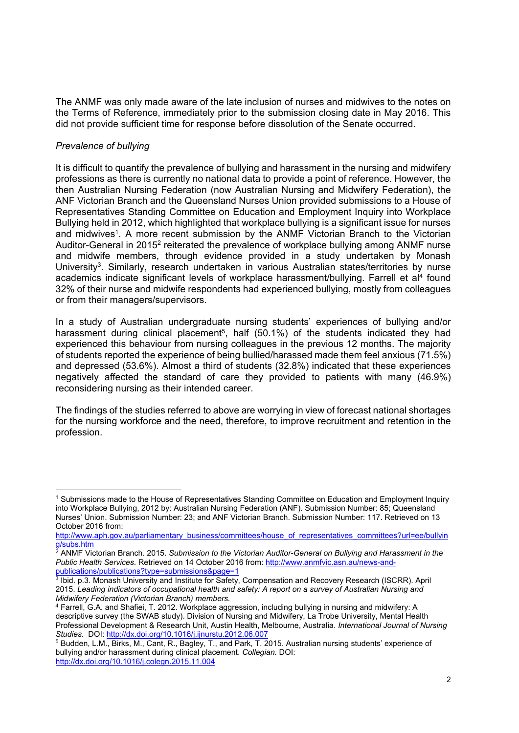The ANMF was only made aware of the late inclusion of nurses and midwives to the notes on the Terms of Reference, immediately prior to the submission closing date in May 2016. This did not provide sufficient time for response before dissolution of the Senate occurred.

# *Prevalence of bullying*

1

It is difficult to quantify the prevalence of bullying and harassment in the nursing and midwifery professions as there is currently no national data to provide a point of reference. However, the then Australian Nursing Federation (now Australian Nursing and Midwifery Federation), the ANF Victorian Branch and the Queensland Nurses Union provided submissions to a House of Representatives Standing Committee on Education and Employment Inquiry into Workplace Bullying held in 2012, which highlighted that workplace bullying is a significant issue for nurses and midwives<sup>1</sup>. A more recent submission by the ANMF Victorian Branch to the Victorian Auditor-General in 2015<sup>2</sup> reiterated the prevalence of workplace bullying among ANMF nurse and midwife members, through evidence provided in a study undertaken by Monash University<sup>3</sup>. Similarly, research undertaken in various Australian states/territories by nurse academics indicate significant levels of workplace harassment/bullying. Farrell et al<sup>4</sup> found 32% of their nurse and midwife respondents had experienced bullying, mostly from colleagues or from their managers/supervisors.

In a study of Australian undergraduate nursing students' experiences of bullying and/or harassment during clinical placement<sup>5</sup>, half (50.1%) of the students indicated they had experienced this behaviour from nursing colleagues in the previous 12 months. The majority of students reported the experience of being bullied/harassed made them feel anxious (71.5%) and depressed (53.6%). Almost a third of students (32.8%) indicated that these experiences negatively affected the standard of care they provided to patients with many (46.9%) reconsidering nursing as their intended career.

The findings of the studies referred to above are worrying in view of forecast national shortages for the nursing workforce and the need, therefore, to improve recruitment and retention in the profession.

<sup>1</sup> Submissions made to the House of Representatives Standing Committee on Education and Employment Inquiry into Workplace Bullying, 2012 by: Australian Nursing Federation (ANF). Submission Number: 85; Queensland Nurses' Union. Submission Number: 23; and ANF Victorian Branch. Submission Number: 117. Retrieved on 13 October 2016 from:

http://www.aph.gov.au/parliamentary\_business/committees/house\_of\_representatives\_committees?url=ee/bullyin

g/subs.htm<br><sup>2</sup> ANMF Victorian Branch. 2015. *Submission to the Victorian Auditor-General on Bullying and Harassment in the Public Health Services*. Retrieved on 14 October 2016 from: http://www.anmfvic.asn.au/news-and-

publications/publications?type=submissions&page=1<br>
3 Ibid. p.3. Monash University and Institute for Safety, Compensation and Recovery Research (ISCRR). April 2015. *Leading indicators of occupational health and safety: A report on a survey of Australian Nursing and Midwifery Federation (Victorian Branch) members.*<br><sup>4</sup> Farrell, G.A. and Shafiei, T. 2012. Workplace aggression, including bullying in nursing and midwifery: A

descriptive survey (the SWAB study). Division of Nursing and Midwifery, La Trobe University, Mental Health Professional Development & Research Unit, Austin Health, Melbourne, Australia. *International Journal of Nursing Studies*. DOI: http://dx.doi.org/10.1016/j.ijnurstu.2012.06.007<br><sup>5</sup> Budden, L.M., Birks, M., Cant, R., Bagley, T., and Park, T. 2015. Australian nursing students' experience of

bullying and/or harassment during clinical placement. *Collegian.* DOI: http://dx.doi.org/10.1016/j.colegn.2015.11.004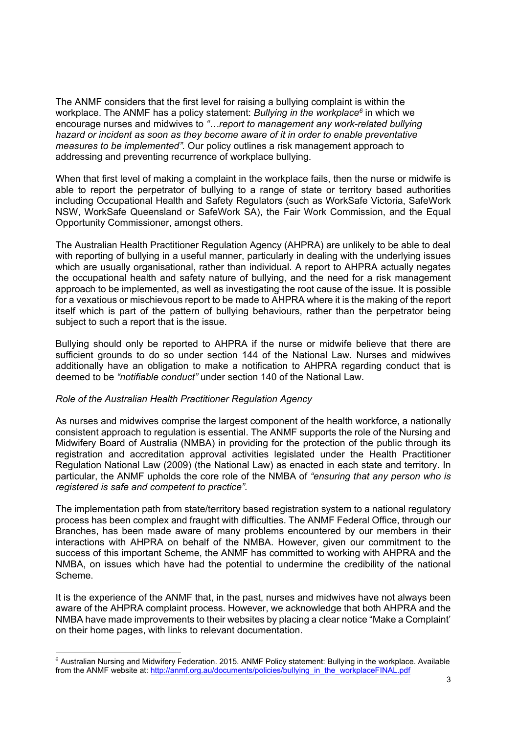The ANMF considers that the first level for raising a bullying complaint is within the workplace. The ANMF has a policy statement: *Bullying in the workplace6* in which we encourage nurses and midwives to *"…report to management any work-related bullying hazard or incident as soon as they become aware of it in order to enable preventative measures to be implemented".* Our policy outlines a risk management approach to addressing and preventing recurrence of workplace bullying.

When that first level of making a complaint in the workplace fails, then the nurse or midwife is able to report the perpetrator of bullying to a range of state or territory based authorities including Occupational Health and Safety Regulators (such as WorkSafe Victoria, SafeWork NSW, WorkSafe Queensland or SafeWork SA), the Fair Work Commission, and the Equal Opportunity Commissioner, amongst others.

The Australian Health Practitioner Regulation Agency (AHPRA) are unlikely to be able to deal with reporting of bullying in a useful manner, particularly in dealing with the underlying issues which are usually organisational, rather than individual. A report to AHPRA actually negates the occupational health and safety nature of bullying, and the need for a risk management approach to be implemented, as well as investigating the root cause of the issue. It is possible for a vexatious or mischievous report to be made to AHPRA where it is the making of the report itself which is part of the pattern of bullying behaviours, rather than the perpetrator being subject to such a report that is the issue.

Bullying should only be reported to AHPRA if the nurse or midwife believe that there are sufficient grounds to do so under section 144 of the National Law. Nurses and midwives additionally have an obligation to make a notification to AHPRA regarding conduct that is deemed to be *"notifiable conduct"* under section 140 of the National Law.

## *Role of the Australian Health Practitioner Regulation Agency*

1

As nurses and midwives comprise the largest component of the health workforce, a nationally consistent approach to regulation is essential. The ANMF supports the role of the Nursing and Midwifery Board of Australia (NMBA) in providing for the protection of the public through its registration and accreditation approval activities legislated under the Health Practitioner Regulation National Law (2009) (the National Law) as enacted in each state and territory. In particular, the ANMF upholds the core role of the NMBA of *"ensuring that any person who is registered is safe and competent to practice"*.

The implementation path from state/territory based registration system to a national regulatory process has been complex and fraught with difficulties. The ANMF Federal Office, through our Branches, has been made aware of many problems encountered by our members in their interactions with AHPRA on behalf of the NMBA. However, given our commitment to the success of this important Scheme, the ANMF has committed to working with AHPRA and the NMBA, on issues which have had the potential to undermine the credibility of the national Scheme.

It is the experience of the ANMF that, in the past, nurses and midwives have not always been aware of the AHPRA complaint process. However, we acknowledge that both AHPRA and the NMBA have made improvements to their websites by placing a clear notice "Make a Complaint' on their home pages, with links to relevant documentation.

<sup>6</sup> Australian Nursing and Midwifery Federation. 2015. ANMF Policy statement: Bullying in the workplace. Available from the ANMF website at: http://anmf.org.au/documents/policies/bullying\_in\_the\_workplaceFINAL.pdf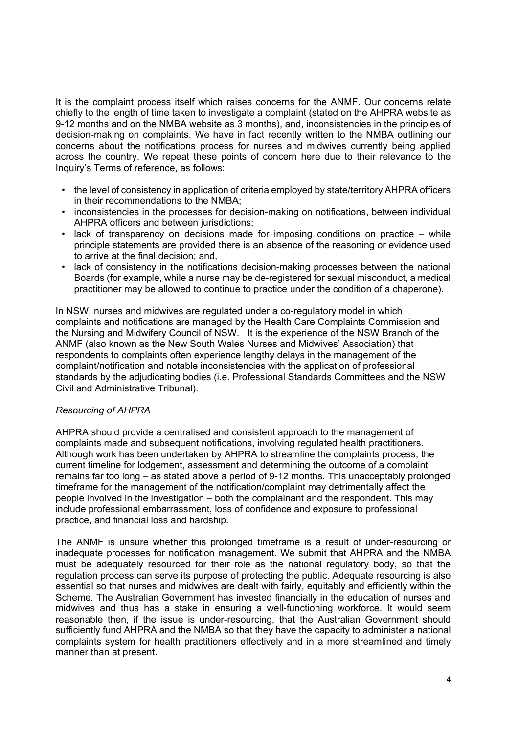It is the complaint process itself which raises concerns for the ANMF. Our concerns relate chiefly to the length of time taken to investigate a complaint (stated on the AHPRA website as 9-12 months and on the NMBA website as 3 months), and, inconsistencies in the principles of decision-making on complaints. We have in fact recently written to the NMBA outlining our concerns about the notifications process for nurses and midwives currently being applied across the country. We repeat these points of concern here due to their relevance to the Inquiry's Terms of reference, as follows:

- the level of consistency in application of criteria employed by state/territory AHPRA officers in their recommendations to the NMBA;
- inconsistencies in the processes for decision-making on notifications, between individual AHPRA officers and between jurisdictions;
- lack of transparency on decisions made for imposing conditions on practice while principle statements are provided there is an absence of the reasoning or evidence used to arrive at the final decision; and,
- lack of consistency in the notifications decision-making processes between the national Boards (for example, while a nurse may be de-registered for sexual misconduct, a medical practitioner may be allowed to continue to practice under the condition of a chaperone).

In NSW, nurses and midwives are regulated under a co-regulatory model in which complaints and notifications are managed by the Health Care Complaints Commission and the Nursing and Midwifery Council of NSW. It is the experience of the NSW Branch of the ANMF (also known as the New South Wales Nurses and Midwives' Association) that respondents to complaints often experience lengthy delays in the management of the complaint/notification and notable inconsistencies with the application of professional standards by the adjudicating bodies (i.e. Professional Standards Committees and the NSW Civil and Administrative Tribunal).

## *Resourcing of AHPRA*

AHPRA should provide a centralised and consistent approach to the management of complaints made and subsequent notifications, involving regulated health practitioners. Although work has been undertaken by AHPRA to streamline the complaints process, the current timeline for lodgement, assessment and determining the outcome of a complaint remains far too long – as stated above a period of 9-12 months. This unacceptably prolonged timeframe for the management of the notification/complaint may detrimentally affect the people involved in the investigation – both the complainant and the respondent. This may include professional embarrassment, loss of confidence and exposure to professional practice, and financial loss and hardship.

The ANMF is unsure whether this prolonged timeframe is a result of under-resourcing or inadequate processes for notification management. We submit that AHPRA and the NMBA must be adequately resourced for their role as the national regulatory body, so that the regulation process can serve its purpose of protecting the public. Adequate resourcing is also essential so that nurses and midwives are dealt with fairly, equitably and efficiently within the Scheme. The Australian Government has invested financially in the education of nurses and midwives and thus has a stake in ensuring a well-functioning workforce. It would seem reasonable then, if the issue is under-resourcing, that the Australian Government should sufficiently fund AHPRA and the NMBA so that they have the capacity to administer a national complaints system for health practitioners effectively and in a more streamlined and timely manner than at present.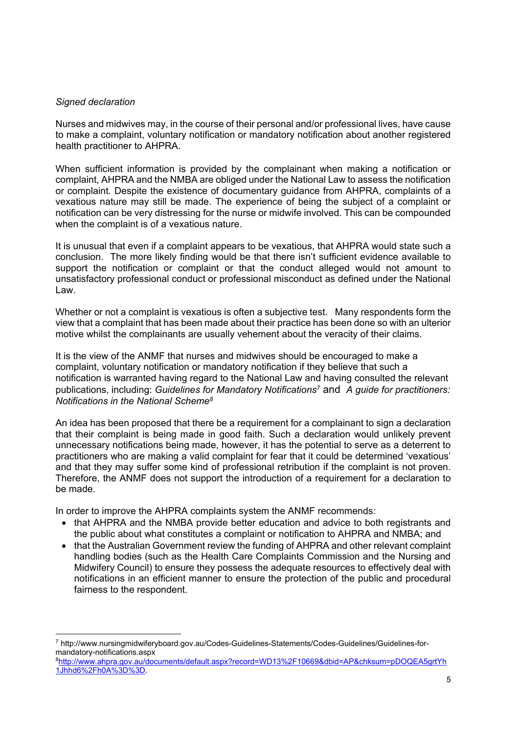#### *Signed declaration*

1

Nurses and midwives may, in the course of their personal and/or professional lives, have cause to make a complaint, voluntary notification or mandatory notification about another registered health practitioner to AHPRA.

When sufficient information is provided by the complainant when making a notification or complaint, AHPRA and the NMBA are obliged under the National Law to assess the notification or complaint. Despite the existence of documentary guidance from AHPRA, complaints of a vexatious nature may still be made. The experience of being the subject of a complaint or notification can be very distressing for the nurse or midwife involved. This can be compounded when the complaint is of a vexatious nature.

It is unusual that even if a complaint appears to be vexatious, that AHPRA would state such a conclusion. The more likely finding would be that there isn't sufficient evidence available to support the notification or complaint or that the conduct alleged would not amount to unsatisfactory professional conduct or professional misconduct as defined under the National Law.

Whether or not a complaint is vexatious is often a subjective test. Many respondents form the view that a complaint that has been made about their practice has been done so with an ulterior motive whilst the complainants are usually vehement about the veracity of their claims.

It is the view of the ANMF that nurses and midwives should be encouraged to make a complaint, voluntary notification or mandatory notification if they believe that such a notification is warranted having regard to the National Law and having consulted the relevant publications, including: *Guidelines for Mandatory Notifications7* and *A guide for practitioners: Notifications in the National Scheme8*

An idea has been proposed that there be a requirement for a complainant to sign a declaration that their complaint is being made in good faith. Such a declaration would unlikely prevent unnecessary notifications being made, however, it has the potential to serve as a deterrent to practitioners who are making a valid complaint for fear that it could be determined 'vexatious' and that they may suffer some kind of professional retribution if the complaint is not proven. Therefore, the ANMF does not support the introduction of a requirement for a declaration to be made.

In order to improve the AHPRA complaints system the ANMF recommends:

- that AHPRA and the NMBA provide better education and advice to both registrants and the public about what constitutes a complaint or notification to AHPRA and NMBA; and
- that the Australian Government review the funding of AHPRA and other relevant complaint handling bodies (such as the Health Care Complaints Commission and the Nursing and Midwifery Council) to ensure they possess the adequate resources to effectively deal with notifications in an efficient manner to ensure the protection of the public and procedural fairness to the respondent.

<sup>7</sup> http://www.nursingmidwiferyboard.gov.au/Codes-Guidelines-Statements/Codes-Guidelines/Guidelines-formandatory-notifications.aspx

<sup>8</sup>http://www.ahpra.gov.au/documents/default.aspx?record=WD13%2F10669&dbid=AP&chksum=pDOQEA5grtYh 1Jhhd6%2Fh0A%3D%3D.